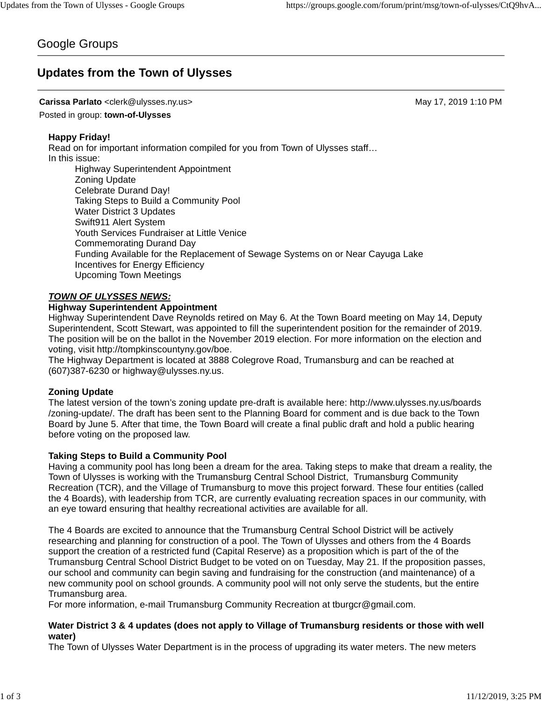# Google Groups

# **Updates from the Town of Ulysses**

#### **Carissa Parlato** <clerk@ulysses.ny.us> May 17, 2019 1:10 PM

Posted in group: **town-of-Ulysses**

#### **Happy Friday!**

Read on for important information compiled for you from Town of Ulysses staff… In this issue: Highway Superintendent Appointment Zoning Update Celebrate Durand Day!

Taking Steps to Build a Community Pool Water District 3 Updates Swift911 Alert System Youth Services Fundraiser at Little Venice Commemorating Durand Day Funding Available for the Replacement of Sewage Systems on or Near Cayuga Lake Incentives for Energy Efficiency Upcoming Town Meetings

#### *TOWN OF ULYSSES NEWS:*

#### **Highway Superintendent Appointment**

Highway Superintendent Dave Reynolds retired on May 6. At the Town Board meeting on May 14, Deputy Superintendent, Scott Stewart, was appointed to fill the superintendent position for the remainder of 2019. The position will be on the ballot in the November 2019 election. For more information on the election and voting, visit http://tompkinscountyny.gov/boe.

The Highway Department is located at 3888 Colegrove Road, Trumansburg and can be reached at (607)387-6230 or highway@ulysses.ny.us.

#### **Zoning Update**

The latest version of the town's zoning update pre-draft is available here: http://www.ulysses.ny.us/boards /zoning-update/. The draft has been sent to the Planning Board for comment and is due back to the Town Board by June 5. After that time, the Town Board will create a final public draft and hold a public hearing before voting on the proposed law.

#### **Taking Steps to Build a Community Pool**

Having a community pool has long been a dream for the area. Taking steps to make that dream a reality, the Town of Ulysses is working with the Trumansburg Central School District, Trumansburg Community Recreation (TCR), and the Village of Trumansburg to move this project forward. These four entities (called the 4 Boards), with leadership from TCR, are currently evaluating recreation spaces in our community, with an eye toward ensuring that healthy recreational activities are available for all.

The 4 Boards are excited to announce that the Trumansburg Central School District will be actively researching and planning for construction of a pool. The Town of Ulysses and others from the 4 Boards support the creation of a restricted fund (Capital Reserve) as a proposition which is part of the of the Trumansburg Central School District Budget to be voted on on Tuesday, May 21. If the proposition passes, our school and community can begin saving and fundraising for the construction (and maintenance) of a new community pool on school grounds. A community pool will not only serve the students, but the entire Trumansburg area.

For more information, e-mail Trumansburg Community Recreation at tburgcr@gmail.com.

#### **Water District 3 & 4 updates (does not apply to Village of Trumansburg residents or those with well water)**

The Town of Ulysses Water Department is in the process of upgrading its water meters. The new meters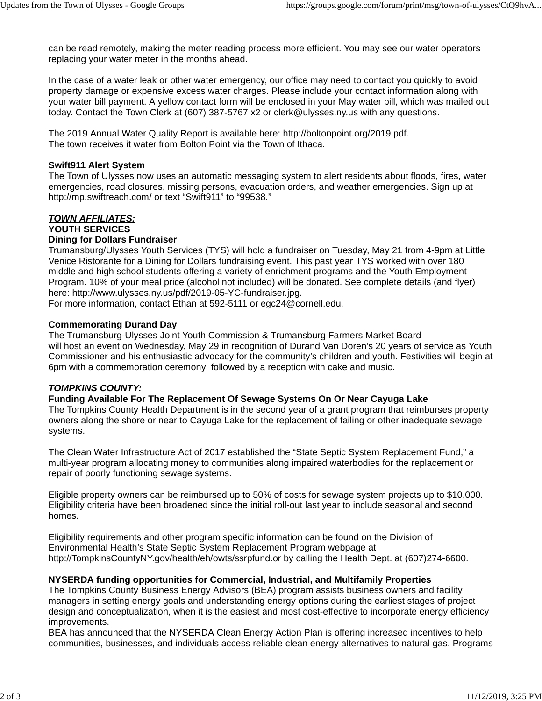can be read remotely, making the meter reading process more efficient. You may see our water operators replacing your water meter in the months ahead.

In the case of a water leak or other water emergency, our office may need to contact you quickly to avoid property damage or expensive excess water charges. Please include your contact information along with your water bill payment. A yellow contact form will be enclosed in your May water bill, which was mailed out today. Contact the Town Clerk at (607) 387-5767 x2 or clerk@ulysses.ny.us with any questions.

The 2019 Annual Water Quality Report is available here: http://boltonpoint.org/2019.pdf. The town receives it water from Bolton Point via the Town of Ithaca.

### **Swift911 Alert System**

The Town of Ulysses now uses an automatic messaging system to alert residents about floods, fires, water emergencies, road closures, missing persons, evacuation orders, and weather emergencies. Sign up at http://mp.swiftreach.com/ or text "Swift911" to "99538."

# *TOWN AFFILIATES:*

## **YOUTH SERVICES**

### **Dining for Dollars Fundraiser**

Trumansburg/Ulysses Youth Services (TYS) will hold a fundraiser on Tuesday, May 21 from 4-9pm at Little Venice Ristorante for a Dining for Dollars fundraising event. This past year TYS worked with over 180 middle and high school students offering a variety of enrichment programs and the Youth Employment Program. 10% of your meal price (alcohol not included) will be donated. See complete details (and flyer) here: http://www.ulysses.ny.us/pdf/2019-05-YC-fundraiser.jpg.

For more information, contact Ethan at 592-5111 or egc24@cornell.edu.

### **Commemorating Durand Day**

The Trumansburg-Ulysses Joint Youth Commission & Trumansburg Farmers Market Board will host an event on Wednesday, May 29 in recognition of Durand Van Doren's 20 years of service as Youth Commissioner and his enthusiastic advocacy for the community's children and youth. Festivities will begin at 6pm with a commemoration ceremony followed by a reception with cake and music.

## *TOMPKINS COUNTY:*

## **Funding Available For The Replacement Of Sewage Systems On Or Near Cayuga Lake**

The Tompkins County Health Department is in the second year of a grant program that reimburses property owners along the shore or near to Cayuga Lake for the replacement of failing or other inadequate sewage systems.

The Clean Water Infrastructure Act of 2017 established the "State Septic System Replacement Fund," a multi-year program allocating money to communities along impaired waterbodies for the replacement or repair of poorly functioning sewage systems.

Eligible property owners can be reimbursed up to 50% of costs for sewage system projects up to \$10,000. Eligibility criteria have been broadened since the initial roll-out last year to include seasonal and second homes.

Eligibility requirements and other program specific information can be found on the Division of Environmental Health's State Septic System Replacement Program webpage at http://TompkinsCountyNY.gov/health/eh/owts/ssrpfund.or by calling the Health Dept. at (607)274-6600.

## **NYSERDA funding opportunities for Commercial, Industrial, and Multifamily Properties**

The Tompkins County Business Energy Advisors (BEA) program assists business owners and facility managers in setting energy goals and understanding energy options during the earliest stages of project design and conceptualization, when it is the easiest and most cost-effective to incorporate energy efficiency improvements.

BEA has announced that the NYSERDA Clean Energy Action Plan is offering increased incentives to help communities, businesses, and individuals access reliable clean energy alternatives to natural gas. Programs